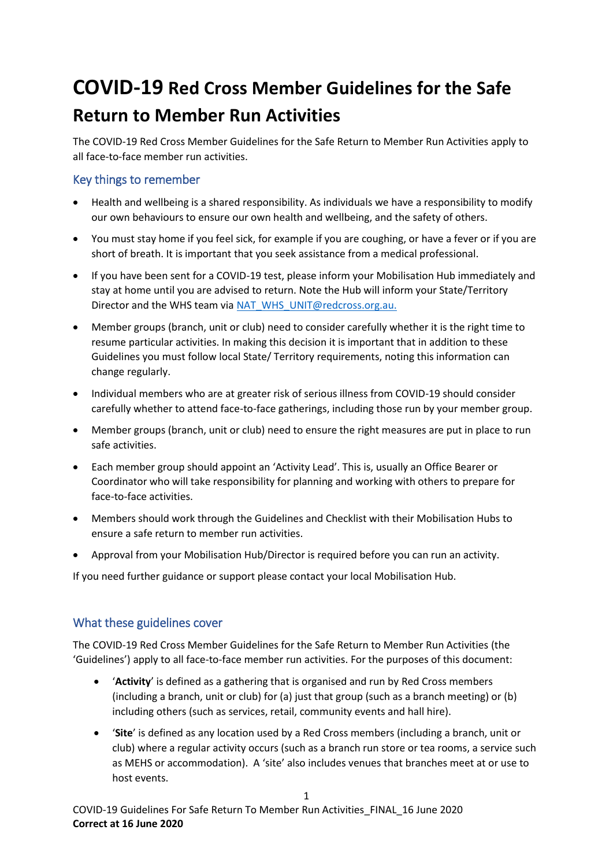# **COVID-19 Red Cross Member Guidelines for the Safe Return to Member Run Activities**

The COVID-19 Red Cross Member Guidelines for the Safe Return to Member Run Activities apply to all face-to-face member run activities.

# Key things to remember

- Health and wellbeing is a shared responsibility. As individuals we have a responsibility to modify our own behaviours to ensure our own health and wellbeing, and the safety of others.
- You must stay home if you feel sick, for example if you are coughing, or have a fever or if you are short of breath. It is important that you seek assistance from a medical professional.
- If you have been sent for a COVID-19 test, please inform your Mobilisation Hub immediately and stay at home until you are advised to return. Note the Hub will inform your State/Territory Director and the WHS team via [NAT\\_WHS\\_UNIT@redcross.org.au.](mailto:NAT_WHS_UNIT@redcross.org.au)
- Member groups (branch, unit or club) need to consider carefully whether it is the right time to resume particular activities. In making this decision it is important that in addition to these Guidelines you must follow local State/ Territory requirements, noting this information can change regularly.
- Individual members who are at greater risk of serious illness from COVID-19 should consider carefully whether to attend face-to-face gatherings, including those run by your member group.
- Member groups (branch, unit or club) need to ensure the right measures are put in place to run safe activities.
- Each member group should appoint an 'Activity Lead'. This is, usually an Office Bearer or Coordinator who will take responsibility for planning and working with others to prepare for face-to-face activities.
- Members should work through the Guidelines and Checklist with their Mobilisation Hubs to ensure a safe return to member run activities.
- Approval from your Mobilisation Hub/Director is required before you can run an activity.

If you need further guidance or support please contact your local Mobilisation Hub.

## What these guidelines cover

The COVID-19 Red Cross Member Guidelines for the Safe Return to Member Run Activities (the 'Guidelines') apply to all face-to-face member run activities. For the purposes of this document:

- '**Activity**' is defined as a gathering that is organised and run by Red Cross members (including a branch, unit or club) for (a) just that group (such as a branch meeting) or (b) including others (such as services, retail, community events and hall hire).
- '**Site**' is defined as any location used by a Red Cross members (including a branch, unit or club) where a regular activity occurs (such as a branch run store or tea rooms, a service such as MEHS or accommodation). A 'site' also includes venues that branches meet at or use to host events.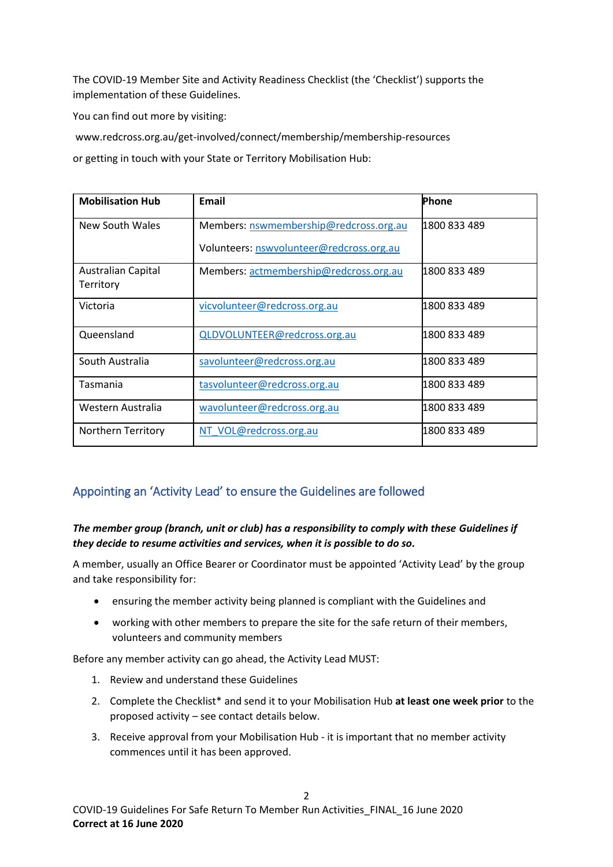The COVID-19 Member Site and Activity Readiness Checklist (the 'Checklist') supports the implementation of these Guidelines.

You can find out more by visiting:

www.redcross.org.au/get-involved/connect/membership/membership-resources

or getting in touch with your State or Territory Mobilisation Hub:

| <b>Mobilisation Hub</b>                | <b>Email</b>                             | Phone        |
|----------------------------------------|------------------------------------------|--------------|
| New South Wales                        | Members: nswmembership@redcross.org.au   | 1800 833 489 |
|                                        | Volunteers: nswvolunteer@redcross.org.au |              |
| <b>Australian Capital</b><br>Territory | Members: actmembership@redcross.org.au   | 1800 833 489 |
|                                        |                                          |              |
| Victoria                               | vicvolunteer@redcross.org.au             | 1800 833 489 |
| Queensland                             | QLDVOLUNTEER@redcross.org.au             | 1800 833 489 |
| South Australia                        | savolunteer@redcross.org.au              | 1800 833 489 |
| Tasmania                               | tasvolunteer@redcross.org.au             | 1800 833 489 |
| Western Australia                      | wavolunteer@redcross.org.au              | 1800 833 489 |
| <b>Northern Territory</b>              | NT VOL@redcross.org.au                   | 1800 833 489 |

## Appointing an 'Activity Lead' to ensure the Guidelines are followed

#### *The member group (branch, unit or club) has a responsibility to comply with these Guidelines if they decide to resume activities and services, when it is possible to do so.*

A member, usually an Office Bearer or Coordinator must be appointed 'Activity Lead' by the group and take responsibility for:

- ensuring the member activity being planned is compliant with the Guidelines and
- working with other members to prepare the site for the safe return of their members, volunteers and community members

Before any member activity can go ahead, the Activity Lead MUST:

- 1. Review and understand these Guidelines
- 2. Complete the Checklist\* and send it to your Mobilisation Hub **at least one week prior** to the proposed activity – see contact details below.
- 3. Receive approval from your Mobilisation Hub it is important that no member activity commences until it has been approved.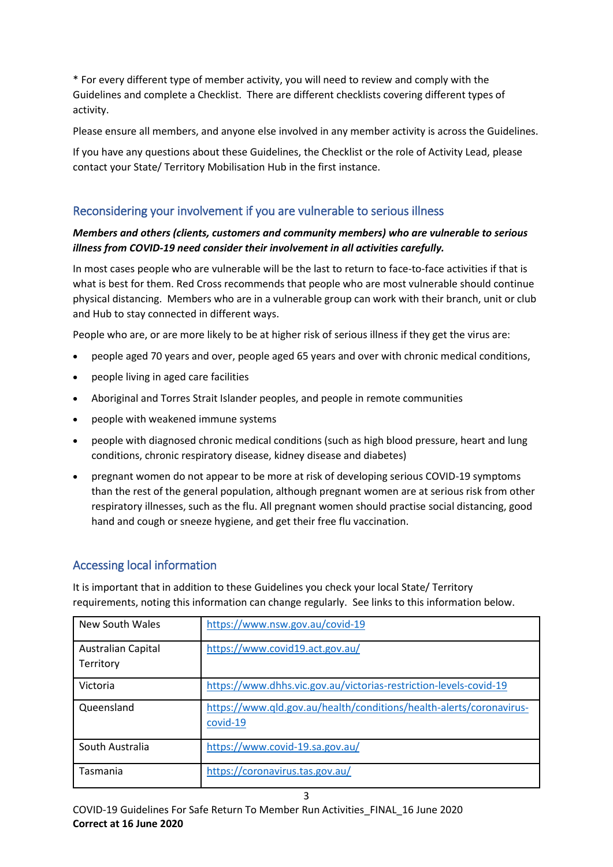\* For every different type of member activity, you will need to review and comply with the Guidelines and complete a Checklist. There are different checklists covering different types of activity.

Please ensure all members, and anyone else involved in any member activity is across the Guidelines.

If you have any questions about these Guidelines, the Checklist or the role of Activity Lead, please contact your State/ Territory Mobilisation Hub in the first instance.

# Reconsidering your involvement if you are vulnerable to serious illness

#### *Members and others (clients, customers and community members) who are vulnerable to serious illness from COVID-19 need consider their involvement in all activities carefully.*

In most cases people who are vulnerable will be the last to return to face-to-face activities if that is what is best for them. Red Cross recommends that people who are most vulnerable should continue physical distancing. Members who are in a vulnerable group can work with their branch, unit or club and Hub to stay connected in different ways.

People who are, or are more likely to be at higher risk of serious illness if they get the virus are:

- people aged 70 years and over, people aged 65 years and over with chronic medical conditions,
- people living in aged care facilities
- Aboriginal and Torres Strait Islander peoples, and people in remote communities
- people with weakened immune systems
- people with diagnosed chronic medical conditions (such as high blood pressure, heart and lung conditions, chronic respiratory disease, kidney disease and diabetes)
- pregnant women do not appear to be more at risk of developing serious COVID-19 symptoms than the rest of the general population, although pregnant women are at serious risk from other respiratory illnesses, such as the flu. All pregnant women should practise social distancing, good hand and cough or sneeze hygiene, and get their free flu vaccination.

## Accessing local information

It is important that in addition to these Guidelines you check your local State/ Territory requirements, noting this information can change regularly. See links to this information below.

| New South Wales                 | https://www.nsw.gov.au/covid-19                                                 |
|---------------------------------|---------------------------------------------------------------------------------|
| Australian Capital<br>Territory | https://www.covid19.act.gov.au/                                                 |
| Victoria                        | https://www.dhhs.vic.gov.au/victorias-restriction-levels-covid-19               |
| Queensland                      | https://www.qld.gov.au/health/conditions/health-alerts/coronavirus-<br>covid-19 |
| South Australia                 | https://www.covid-19.sa.gov.au/                                                 |
| Tasmania                        | https://coronavirus.tas.gov.au/                                                 |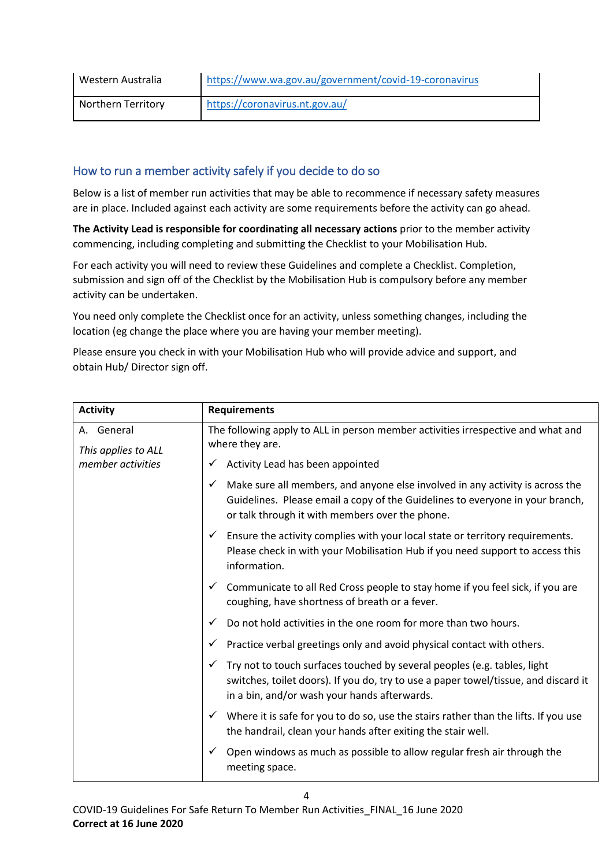| Western Australia  | https://www.wa.gov.au/government/covid-19-coronavirus |
|--------------------|-------------------------------------------------------|
| Northern Territory | https://coronavirus.nt.gov.au/                        |

# How to run a member activity safely if you decide to do so

Below is a list of member run activities that may be able to recommence if necessary safety measures are in place. Included against each activity are some requirements before the activity can go ahead.

**The Activity Lead is responsible for coordinating all necessary actions** prior to the member activity commencing, including completing and submitting the Checklist to your Mobilisation Hub.

For each activity you will need to review these Guidelines and complete a Checklist. Completion, submission and sign off of the Checklist by the Mobilisation Hub is compulsory before any member activity can be undertaken.

You need only complete the Checklist once for an activity, unless something changes, including the location (eg change the place where you are having your member meeting).

Please ensure you check in with your Mobilisation Hub who will provide advice and support, and obtain Hub/ Director sign off.

| <b>Activity</b>                   | <b>Requirements</b>                                                                                                                                                                                                               |
|-----------------------------------|-----------------------------------------------------------------------------------------------------------------------------------------------------------------------------------------------------------------------------------|
| A. General<br>This applies to ALL | The following apply to ALL in person member activities irrespective and what and<br>where they are.                                                                                                                               |
| member activities                 | Activity Lead has been appointed<br>$\checkmark$                                                                                                                                                                                  |
|                                   | Make sure all members, and anyone else involved in any activity is across the<br>$\checkmark$<br>Guidelines. Please email a copy of the Guidelines to everyone in your branch,<br>or talk through it with members over the phone. |
|                                   | Ensure the activity complies with your local state or territory requirements.<br>$\checkmark$<br>Please check in with your Mobilisation Hub if you need support to access this<br>information.                                    |
|                                   | Communicate to all Red Cross people to stay home if you feel sick, if you are<br>$\checkmark$<br>coughing, have shortness of breath or a fever.                                                                                   |
|                                   | Do not hold activities in the one room for more than two hours.<br>$\checkmark$                                                                                                                                                   |
|                                   | Practice verbal greetings only and avoid physical contact with others.<br>✓                                                                                                                                                       |
|                                   | Try not to touch surfaces touched by several peoples (e.g. tables, light<br>$\checkmark$<br>switches, toilet doors). If you do, try to use a paper towel/tissue, and discard it<br>in a bin, and/or wash your hands afterwards.   |
|                                   | $\checkmark$ Where it is safe for you to do so, use the stairs rather than the lifts. If you use<br>the handrail, clean your hands after exiting the stair well.                                                                  |
|                                   | Open windows as much as possible to allow regular fresh air through the<br>$\checkmark$<br>meeting space.                                                                                                                         |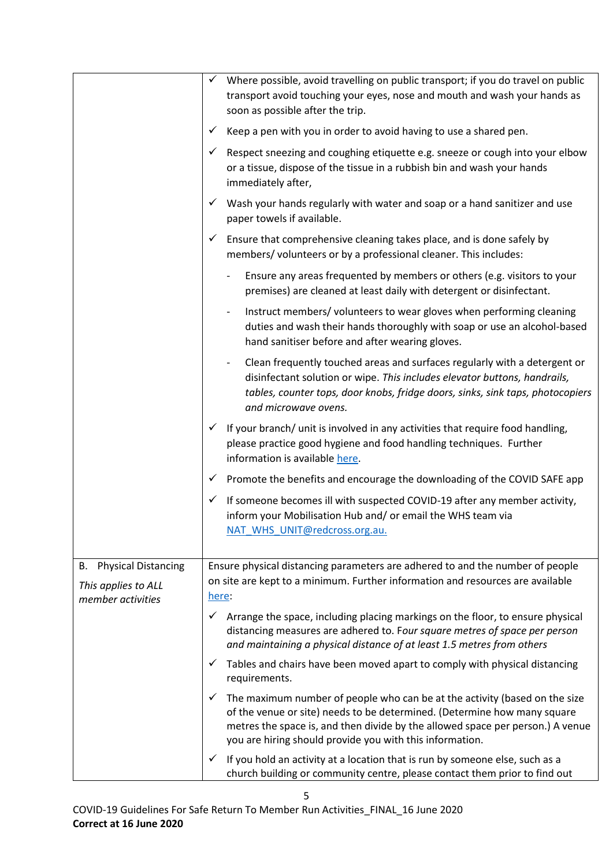|                                          | Where possible, avoid travelling on public transport; if you do travel on public<br>✓<br>transport avoid touching your eyes, nose and mouth and wash your hands as<br>soon as possible after the trip.                                                                                                    |
|------------------------------------------|-----------------------------------------------------------------------------------------------------------------------------------------------------------------------------------------------------------------------------------------------------------------------------------------------------------|
|                                          | Keep a pen with you in order to avoid having to use a shared pen.<br>✓                                                                                                                                                                                                                                    |
|                                          | Respect sneezing and coughing etiquette e.g. sneeze or cough into your elbow<br>✓<br>or a tissue, dispose of the tissue in a rubbish bin and wash your hands<br>immediately after,                                                                                                                        |
|                                          | Wash your hands regularly with water and soap or a hand sanitizer and use<br>paper towels if available.                                                                                                                                                                                                   |
|                                          | Ensure that comprehensive cleaning takes place, and is done safely by<br>✓<br>members/volunteers or by a professional cleaner. This includes:                                                                                                                                                             |
|                                          | Ensure any areas frequented by members or others (e.g. visitors to your<br>premises) are cleaned at least daily with detergent or disinfectant.                                                                                                                                                           |
|                                          | Instruct members/volunteers to wear gloves when performing cleaning<br>$\overline{\phantom{a}}$<br>duties and wash their hands thoroughly with soap or use an alcohol-based<br>hand sanitiser before and after wearing gloves.                                                                            |
|                                          | Clean frequently touched areas and surfaces regularly with a detergent or<br>$\qquad \qquad \blacksquare$<br>disinfectant solution or wipe. This includes elevator buttons, handrails,<br>tables, counter tops, door knobs, fridge doors, sinks, sink taps, photocopiers<br>and microwave ovens.          |
|                                          | If your branch/ unit is involved in any activities that require food handling,<br>$\checkmark$<br>please practice good hygiene and food handling techniques. Further<br>information is available here.                                                                                                    |
|                                          | $\checkmark$ Promote the benefits and encourage the downloading of the COVID SAFE app                                                                                                                                                                                                                     |
|                                          | If someone becomes ill with suspected COVID-19 after any member activity,<br>✓<br>inform your Mobilisation Hub and/ or email the WHS team via<br>NAT WHS UNIT@redcross.org.au.                                                                                                                            |
| <b>B.</b> Physical Distancing            | Ensure physical distancing parameters are adhered to and the number of people                                                                                                                                                                                                                             |
| This applies to ALL<br>member activities | on site are kept to a minimum. Further information and resources are available<br>here:                                                                                                                                                                                                                   |
|                                          | Arrange the space, including placing markings on the floor, to ensure physical<br>✓<br>distancing measures are adhered to. Four square metres of space per person<br>and maintaining a physical distance of at least 1.5 metres from others                                                               |
|                                          | Tables and chairs have been moved apart to comply with physical distancing<br>✓<br>requirements.                                                                                                                                                                                                          |
|                                          | The maximum number of people who can be at the activity (based on the size<br>✓<br>of the venue or site) needs to be determined. (Determine how many square<br>metres the space is, and then divide by the allowed space per person.) A venue<br>you are hiring should provide you with this information. |
|                                          | If you hold an activity at a location that is run by someone else, such as a<br>✓<br>church building or community centre, please contact them prior to find out                                                                                                                                           |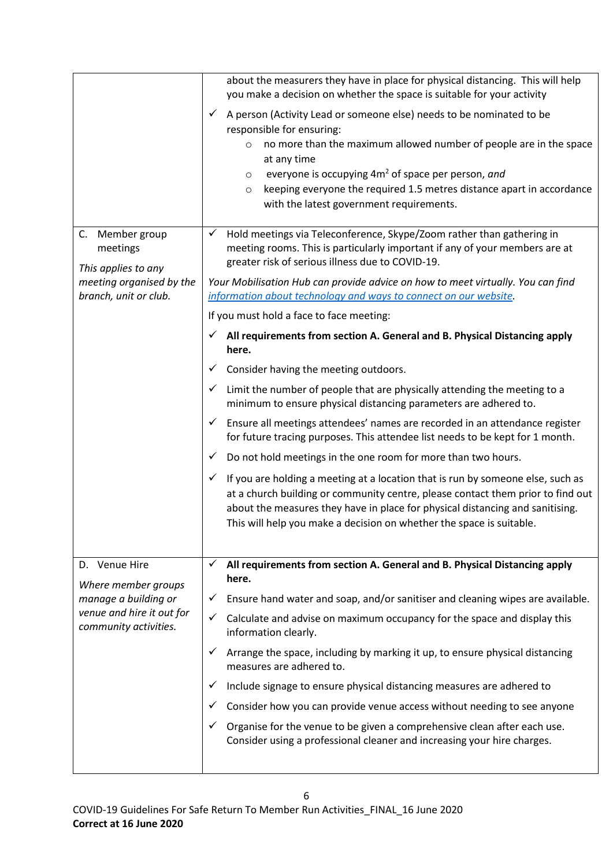|                                                                            | about the measurers they have in place for physical distancing. This will help<br>you make a decision on whether the space is suitable for your activity                                                                                 |
|----------------------------------------------------------------------------|------------------------------------------------------------------------------------------------------------------------------------------------------------------------------------------------------------------------------------------|
|                                                                            | A person (Activity Lead or someone else) needs to be nominated to be<br>$\checkmark$<br>responsible for ensuring:                                                                                                                        |
|                                                                            | no more than the maximum allowed number of people are in the space<br>$\circ$<br>at any time                                                                                                                                             |
|                                                                            | everyone is occupying 4m <sup>2</sup> of space per person, and<br>$\circ$                                                                                                                                                                |
|                                                                            | keeping everyone the required 1.5 metres distance apart in accordance<br>$\circ$<br>with the latest government requirements.                                                                                                             |
| C. Member group<br>meetings                                                | Hold meetings via Teleconference, Skype/Zoom rather than gathering in<br>✓<br>meeting rooms. This is particularly important if any of your members are at<br>greater risk of serious illness due to COVID-19.                            |
| This applies to any<br>meeting organised by the<br>branch, unit or club.   | Your Mobilisation Hub can provide advice on how to meet virtually. You can find<br>information about technology and ways to connect on our website.                                                                                      |
|                                                                            | If you must hold a face to face meeting:                                                                                                                                                                                                 |
|                                                                            | All requirements from section A. General and B. Physical Distancing apply<br>✓<br>here.                                                                                                                                                  |
|                                                                            | Consider having the meeting outdoors.<br>✓                                                                                                                                                                                               |
|                                                                            | Limit the number of people that are physically attending the meeting to a<br>$\checkmark$<br>minimum to ensure physical distancing parameters are adhered to.                                                                            |
|                                                                            | Ensure all meetings attendees' names are recorded in an attendance register<br>✓<br>for future tracing purposes. This attendee list needs to be kept for 1 month.                                                                        |
|                                                                            | Do not hold meetings in the one room for more than two hours.<br>$\checkmark$                                                                                                                                                            |
|                                                                            | If you are holding a meeting at a location that is run by someone else, such as<br>✓                                                                                                                                                     |
|                                                                            | at a church building or community centre, please contact them prior to find out<br>about the measures they have in place for physical distancing and sanitising.<br>This will help you make a decision on whether the space is suitable. |
|                                                                            |                                                                                                                                                                                                                                          |
| D. Venue Hire<br>Where member groups                                       | All requirements from section A. General and B. Physical Distancing apply<br>✓<br>here.                                                                                                                                                  |
| manage a building or<br>venue and hire it out for<br>community activities. | Ensure hand water and soap, and/or sanitiser and cleaning wipes are available.<br>✓                                                                                                                                                      |
|                                                                            | ✓<br>Calculate and advise on maximum occupancy for the space and display this<br>information clearly.                                                                                                                                    |
|                                                                            | Arrange the space, including by marking it up, to ensure physical distancing<br>$\checkmark$<br>measures are adhered to.                                                                                                                 |
|                                                                            | Include signage to ensure physical distancing measures are adhered to<br>✓                                                                                                                                                               |
|                                                                            | Consider how you can provide venue access without needing to see anyone<br>V                                                                                                                                                             |
|                                                                            | Organise for the venue to be given a comprehensive clean after each use.<br>✓<br>Consider using a professional cleaner and increasing your hire charges.                                                                                 |
|                                                                            |                                                                                                                                                                                                                                          |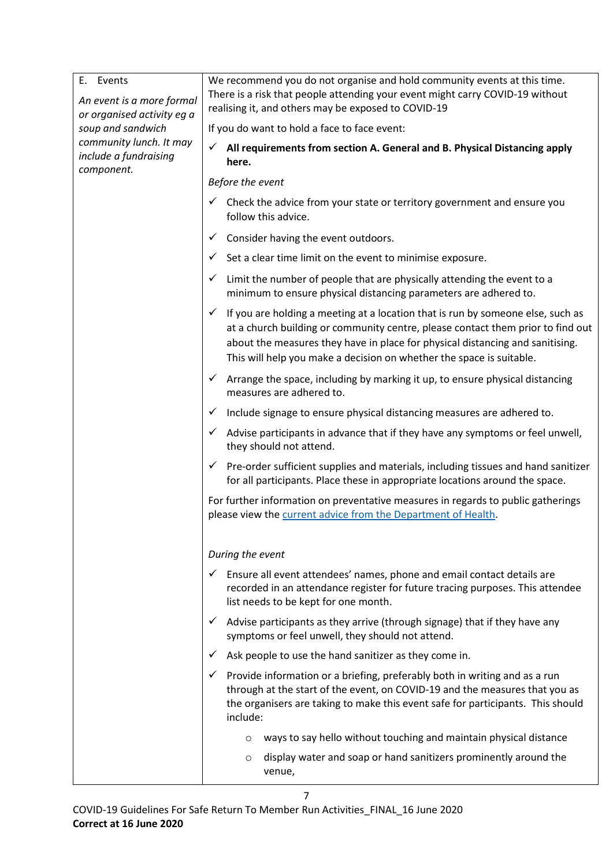| E. Events<br>An event is a more formal<br>or organised activity eg a<br>soup and sandwich<br>community lunch. It may<br>include a fundraising<br>component. | We recommend you do not organise and hold community events at this time.<br>There is a risk that people attending your event might carry COVID-19 without<br>realising it, and others may be exposed to COVID-19                                                                                                                            |
|-------------------------------------------------------------------------------------------------------------------------------------------------------------|---------------------------------------------------------------------------------------------------------------------------------------------------------------------------------------------------------------------------------------------------------------------------------------------------------------------------------------------|
|                                                                                                                                                             | If you do want to hold a face to face event:                                                                                                                                                                                                                                                                                                |
|                                                                                                                                                             | All requirements from section A. General and B. Physical Distancing apply<br>✓<br>here.                                                                                                                                                                                                                                                     |
|                                                                                                                                                             | Before the event                                                                                                                                                                                                                                                                                                                            |
|                                                                                                                                                             | Check the advice from your state or territory government and ensure you<br>follow this advice.                                                                                                                                                                                                                                              |
|                                                                                                                                                             | Consider having the event outdoors.<br>✓                                                                                                                                                                                                                                                                                                    |
|                                                                                                                                                             | Set a clear time limit on the event to minimise exposure.<br>✓                                                                                                                                                                                                                                                                              |
|                                                                                                                                                             | Limit the number of people that are physically attending the event to a<br>✓<br>minimum to ensure physical distancing parameters are adhered to.                                                                                                                                                                                            |
|                                                                                                                                                             | If you are holding a meeting at a location that is run by someone else, such as<br>$\checkmark$<br>at a church building or community centre, please contact them prior to find out<br>about the measures they have in place for physical distancing and sanitising.<br>This will help you make a decision on whether the space is suitable. |
|                                                                                                                                                             | Arrange the space, including by marking it up, to ensure physical distancing<br>✓<br>measures are adhered to.                                                                                                                                                                                                                               |
|                                                                                                                                                             | Include signage to ensure physical distancing measures are adhered to.<br>✓                                                                                                                                                                                                                                                                 |
|                                                                                                                                                             | Advise participants in advance that if they have any symptoms or feel unwell,<br>✓<br>they should not attend.                                                                                                                                                                                                                               |
|                                                                                                                                                             | $\checkmark$ Pre-order sufficient supplies and materials, including tissues and hand sanitizer<br>for all participants. Place these in appropriate locations around the space.                                                                                                                                                              |
|                                                                                                                                                             | For further information on preventative measures in regards to public gatherings<br>please view the current advice from the Department of Health.                                                                                                                                                                                           |
|                                                                                                                                                             | During the event                                                                                                                                                                                                                                                                                                                            |
|                                                                                                                                                             | Ensure all event attendees' names, phone and email contact details are<br>$\checkmark$<br>recorded in an attendance register for future tracing purposes. This attendee<br>list needs to be kept for one month.                                                                                                                             |
|                                                                                                                                                             | Advise participants as they arrive (through signage) that if they have any<br>$\checkmark$<br>symptoms or feel unwell, they should not attend.                                                                                                                                                                                              |
|                                                                                                                                                             | Ask people to use the hand sanitizer as they come in.<br>✓                                                                                                                                                                                                                                                                                  |
|                                                                                                                                                             | Provide information or a briefing, preferably both in writing and as a run<br>through at the start of the event, on COVID-19 and the measures that you as<br>the organisers are taking to make this event safe for participants. This should<br>include:                                                                                    |
|                                                                                                                                                             | ways to say hello without touching and maintain physical distance<br>$\circ$                                                                                                                                                                                                                                                                |
|                                                                                                                                                             | display water and soap or hand sanitizers prominently around the<br>O<br>venue,                                                                                                                                                                                                                                                             |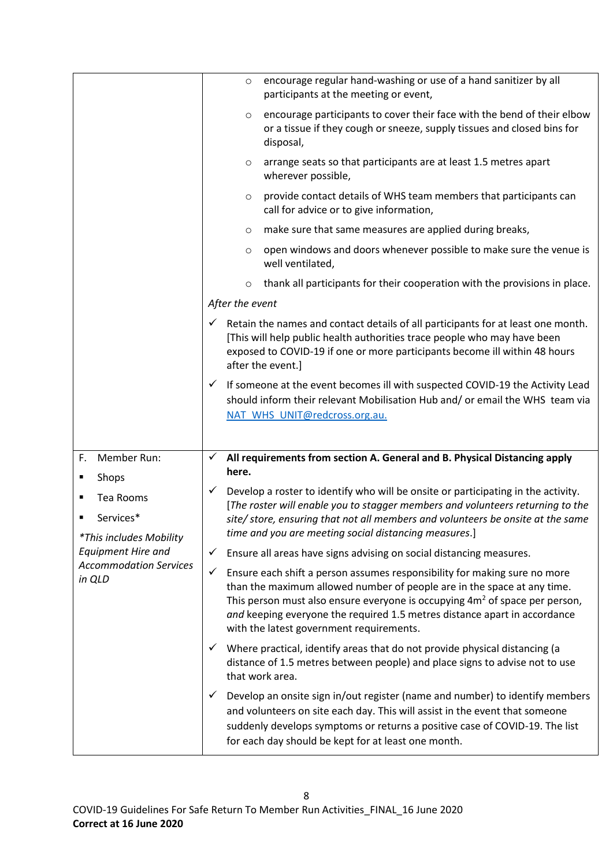|                                                                                                                   | encourage regular hand-washing or use of a hand sanitizer by all<br>$\circ$<br>participants at the meeting or event,                                                                                                                                                                                                                                                           |  |
|-------------------------------------------------------------------------------------------------------------------|--------------------------------------------------------------------------------------------------------------------------------------------------------------------------------------------------------------------------------------------------------------------------------------------------------------------------------------------------------------------------------|--|
|                                                                                                                   | encourage participants to cover their face with the bend of their elbow<br>$\circ$<br>or a tissue if they cough or sneeze, supply tissues and closed bins for<br>disposal,                                                                                                                                                                                                     |  |
|                                                                                                                   | arrange seats so that participants are at least 1.5 metres apart<br>$\circ$<br>wherever possible,                                                                                                                                                                                                                                                                              |  |
|                                                                                                                   | provide contact details of WHS team members that participants can<br>$\circ$<br>call for advice or to give information,                                                                                                                                                                                                                                                        |  |
|                                                                                                                   | make sure that same measures are applied during breaks,<br>O                                                                                                                                                                                                                                                                                                                   |  |
|                                                                                                                   | open windows and doors whenever possible to make sure the venue is<br>$\circ$<br>well ventilated,                                                                                                                                                                                                                                                                              |  |
|                                                                                                                   | thank all participants for their cooperation with the provisions in place.<br>$\circ$                                                                                                                                                                                                                                                                                          |  |
|                                                                                                                   | After the event                                                                                                                                                                                                                                                                                                                                                                |  |
|                                                                                                                   | Retain the names and contact details of all participants for at least one month.<br>$\checkmark$<br>[This will help public health authorities trace people who may have been<br>exposed to COVID-19 if one or more participants become ill within 48 hours<br>after the event.]                                                                                                |  |
|                                                                                                                   | If someone at the event becomes ill with suspected COVID-19 the Activity Lead<br>$\checkmark$<br>should inform their relevant Mobilisation Hub and/ or email the WHS team via<br>NAT_WHS_UNIT@redcross.org.au.                                                                                                                                                                 |  |
| Member Run:<br>F.                                                                                                 | All requirements from section A. General and B. Physical Distancing apply<br>$\checkmark$                                                                                                                                                                                                                                                                                      |  |
| Shops<br>٠                                                                                                        | here.                                                                                                                                                                                                                                                                                                                                                                          |  |
| Tea Rooms<br>٠                                                                                                    | Develop a roster to identify who will be onsite or participating in the activity.<br>$\checkmark$                                                                                                                                                                                                                                                                              |  |
| Services*<br>٠<br>*This includes Mobility<br><b>Equipment Hire and</b><br><b>Accommodation Services</b><br>in QLD | [The roster will enable you to stagger members and volunteers returning to the<br>site/store, ensuring that not all members and volunteers be onsite at the same<br>time and you are meeting social distancing measures.]                                                                                                                                                      |  |
|                                                                                                                   | ✓<br>Ensure all areas have signs advising on social distancing measures.                                                                                                                                                                                                                                                                                                       |  |
|                                                                                                                   | $\checkmark$<br>Ensure each shift a person assumes responsibility for making sure no more<br>than the maximum allowed number of people are in the space at any time.<br>This person must also ensure everyone is occupying $4m2$ of space per person,<br>and keeping everyone the required 1.5 metres distance apart in accordance<br>with the latest government requirements. |  |
|                                                                                                                   | Where practical, identify areas that do not provide physical distancing (a<br>✓<br>distance of 1.5 metres between people) and place signs to advise not to use<br>that work area.                                                                                                                                                                                              |  |
|                                                                                                                   | Develop an onsite sign in/out register (name and number) to identify members<br>✓<br>and volunteers on site each day. This will assist in the event that someone<br>suddenly develops symptoms or returns a positive case of COVID-19. The list<br>for each day should be kept for at least one month.                                                                         |  |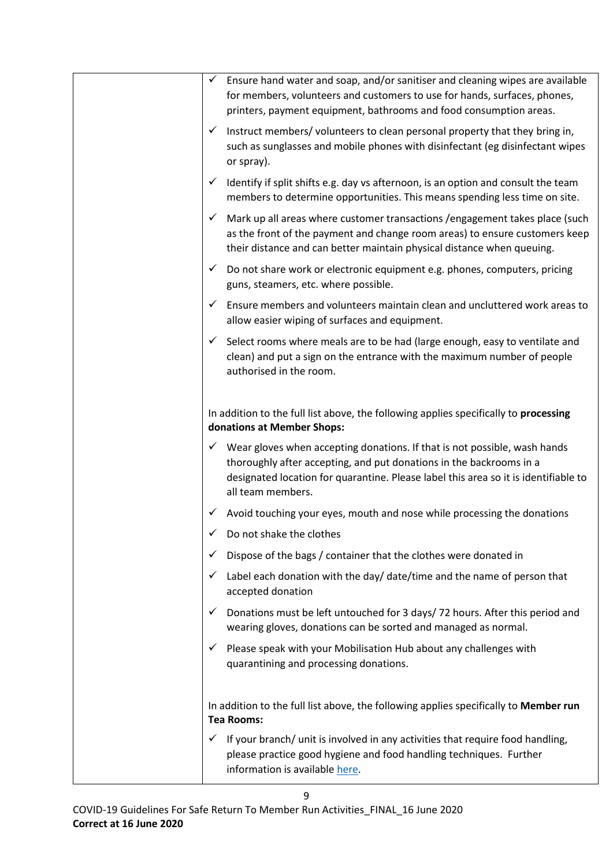| Ensure hand water and soap, and/or sanitiser and cleaning wipes are available<br>$\checkmark$                                                                                                                                                                             |
|---------------------------------------------------------------------------------------------------------------------------------------------------------------------------------------------------------------------------------------------------------------------------|
| for members, volunteers and customers to use for hands, surfaces, phones,<br>printers, payment equipment, bathrooms and food consumption areas.                                                                                                                           |
| Instruct members/volunteers to clean personal property that they bring in,<br>✓<br>such as sunglasses and mobile phones with disinfectant (eg disinfectant wipes<br>or spray).                                                                                            |
| Identify if split shifts e.g. day vs afternoon, is an option and consult the team<br>$\checkmark$<br>members to determine opportunities. This means spending less time on site.                                                                                           |
| Mark up all areas where customer transactions / engagement takes place (such<br>✓<br>as the front of the payment and change room areas) to ensure customers keep<br>their distance and can better maintain physical distance when queuing.                                |
| Do not share work or electronic equipment e.g. phones, computers, pricing<br>$\checkmark$<br>guns, steamers, etc. where possible.                                                                                                                                         |
| Ensure members and volunteers maintain clean and uncluttered work areas to<br>$\checkmark$<br>allow easier wiping of surfaces and equipment.                                                                                                                              |
| Select rooms where meals are to be had (large enough, easy to ventilate and<br>$\checkmark$<br>clean) and put a sign on the entrance with the maximum number of people<br>authorised in the room.                                                                         |
| In addition to the full list above, the following applies specifically to processing<br>donations at Member Shops:                                                                                                                                                        |
| $\checkmark$ Wear gloves when accepting donations. If that is not possible, wash hands<br>thoroughly after accepting, and put donations in the backrooms in a<br>designated location for quarantine. Please label this area so it is identifiable to<br>all team members. |
| $\checkmark$ Avoid touching your eyes, mouth and nose while processing the donations                                                                                                                                                                                      |
| $\angle$ Do not shake the clothes                                                                                                                                                                                                                                         |
| Dispose of the bags / container that the clothes were donated in                                                                                                                                                                                                          |
| Label each donation with the day/ date/time and the name of person that<br>✓<br>accepted donation                                                                                                                                                                         |
| Donations must be left untouched for 3 days/72 hours. After this period and<br>✓<br>wearing gloves, donations can be sorted and managed as normal.                                                                                                                        |
| Please speak with your Mobilisation Hub about any challenges with<br>quarantining and processing donations.                                                                                                                                                               |
| In addition to the full list above, the following applies specifically to Member run<br><b>Tea Rooms:</b>                                                                                                                                                                 |
| If your branch/ unit is involved in any activities that require food handling,<br>✓<br>please practice good hygiene and food handling techniques. Further<br>information is available here.                                                                               |